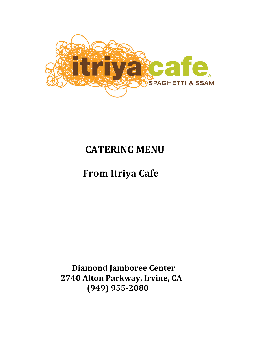

## **CATERING MENU**

# **From Itriya Cafe**

**Diamond Jamboree Center** 2740 Alton Parkway, Irvine, CA  **(949) 955-2080**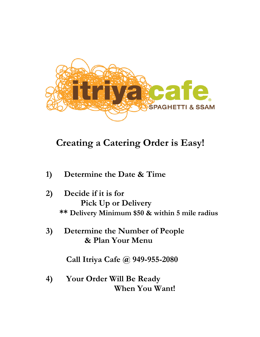

### **Creating a Catering Order is Easy!**

- **1) Determine the Date & Time**
- **2) Decide if it is for Pick Up or Delivery \*\* Delivery Minimum \$50 & within 5 mile radius**
- **3) Determine the Number of People & Plan Your Menu**

 **Call Itriya Cafe @ 949-955-2080**

**4) Your Order Will Be Ready When You Want!**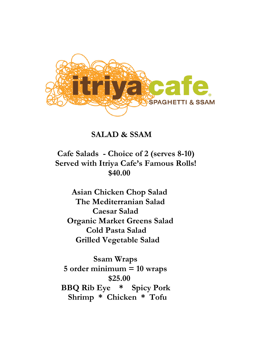

#### **SALAD & SSAM**

 **Cafe Salads - Choice of 2 (serves 8-10) Served with Itriya Cafe's Famous Rolls! \$40.00**

 **Asian Chicken Chop Salad The Mediterranian Salad Caesar Salad Organic Market Greens Salad Cold Pasta Salad Grilled Vegetable Salad**

 **Ssam Wraps 5 order minimum = 10 wraps \$25.00 BBQ Rib Eye \* Spicy Pork Shrimp \* Chicken \* Tofu**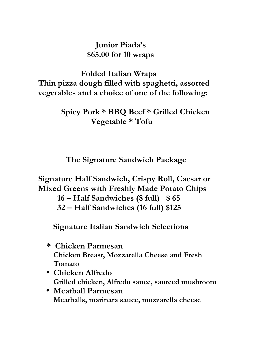#### **Junior Piada's \$65.00 for 10 wraps**

 **Folded Italian Wraps Thin pizza dough filled with spaghetti, assorted vegetables and a choice of one of the following:**

> **Spicy Pork \* BBQ Beef \* Grilled Chicken Vegetable \* Tofu**

 **The Signature Sandwich Package**

**Signature Half Sandwich, Crispy Roll, Caesar or Mixed Greens with Freshly Made Potato Chips** 

 **16 – Half Sandwiches (8 full) \$ 65**

 **32 – Half Sandwiches (16 full) \$125**

 **Signature Italian Sandwich Selections**

- **\* Chicken Parmesan Chicken Breast, Mozzarella Cheese and Fresh Tomato**
- **Chicken Alfredo Grilled chicken, Alfredo sauce, sauteed mushroom**
- **Meatball Parmesan Meatballs, marinara sauce, mozzarella cheese**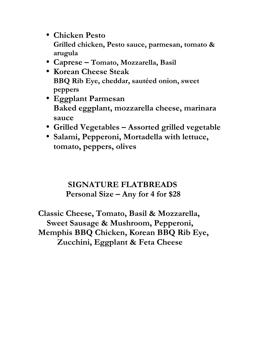- **Chicken Pesto Grilled chicken, Pesto sauce, parmesan, tomato & arugula**
- **Caprese – Tomato, Mozzarella, Basil**
- **Korean Cheese Steak BBQ Rib Eye, cheddar, sautéed onion, sweet peppers**
- **Eggplant Parmesan Baked eggplant, mozzarella cheese, marinara sauce**
- **Grilled Vegetables Assorted grilled vegetable**
- **Salami, Pepperoni, Mortadella with lettuce, tomato, peppers, olives**

#### **SIGNATURE FLATBREADS Personal Size – Any for 4 for \$28**

**Classic Cheese, Tomato, Basil & Mozzarella, Sweet Sausage & Mushroom, Pepperoni, Memphis BBQ Chicken, Korean BBQ Rib Eye, Zucchini, Eggplant & Feta Cheese**